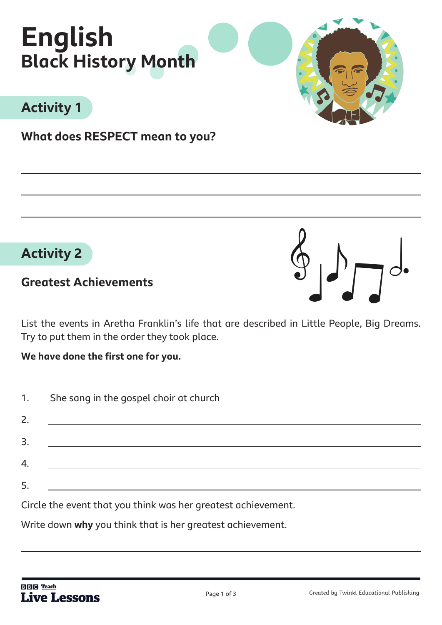

# **Activity 1**

**What does RESPECT mean to you?** 



### **Greatest Achievements**

List the events in Aretha Franklin's life that are described in Little People, Big Dreams. Try to put them in the order they took place.

**We have done the first one for you.** 

| 1.       | She sang in the gospel choir at church                                                                                                                                                                                                                                                                                                                                                                                                                                                                                                                                                                    |  |  |  |  |
|----------|-----------------------------------------------------------------------------------------------------------------------------------------------------------------------------------------------------------------------------------------------------------------------------------------------------------------------------------------------------------------------------------------------------------------------------------------------------------------------------------------------------------------------------------------------------------------------------------------------------------|--|--|--|--|
| 2.       | <u> Andreas Andreas Andreas Andreas Andreas Andreas Andreas Andreas Andreas Andreas Andreas Andreas Andreas Andreas Andreas Andreas Andreas Andreas Andreas Andreas Andreas Andreas Andreas Andreas Andreas Andreas Andreas Andr</u>                                                                                                                                                                                                                                                                                                                                                                      |  |  |  |  |
| 3.       |                                                                                                                                                                                                                                                                                                                                                                                                                                                                                                                                                                                                           |  |  |  |  |
|          | $\label{eq:2.1} \frac{\partial}{\partial x^2} = \frac{\partial}{\partial x^2} + \frac{\partial}{\partial y^2} + \frac{\partial}{\partial z^2} + \frac{\partial}{\partial z^2} + \frac{\partial}{\partial z^2} + \frac{\partial}{\partial z^2} + \frac{\partial}{\partial z^2} + \frac{\partial}{\partial z^2} + \frac{\partial}{\partial z^2} + \frac{\partial}{\partial z^2} + \frac{\partial}{\partial z^2} + \frac{\partial}{\partial z^2} + \frac{\partial}{\partial z^2} + \frac{\partial}{\partial z^2} + \frac{\partial}{\partial z^2} + \frac{\partial}{\partial z^2} + \frac{\partial}{\partial$ |  |  |  |  |
|          |                                                                                                                                                                                                                                                                                                                                                                                                                                                                                                                                                                                                           |  |  |  |  |
| 4.<br>5. | Circle the ovent that you think wes her greatest ashiovement                                                                                                                                                                                                                                                                                                                                                                                                                                                                                                                                              |  |  |  |  |

Circle the event that you think was her greatest achievement.

Write down **why** you think that is her greatest achievement.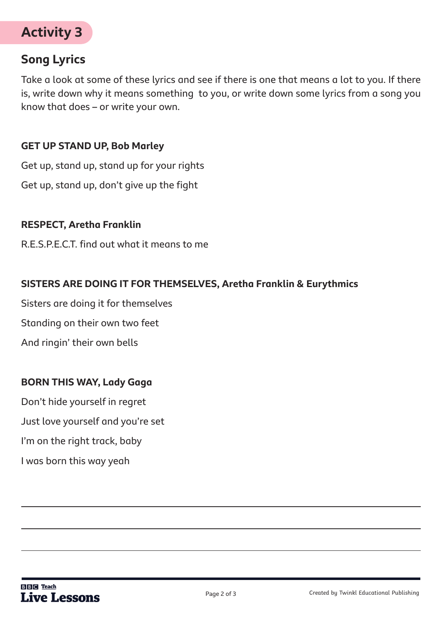

### **Song Lyrics**

Take a look at some of these lyrics and see if there is one that means a lot to you. If there is, write down why it means something to you, or write down some lyrics from a song you know that does – or write your own.

#### **GET UP STAND UP, Bob Marley**

Get up, stand up, stand up for your rights Get up, stand up, don't give up the fight

#### **RESPECT, Aretha Franklin**

R.E.S.P.E.C.T. find out what it means to me

#### **SISTERS ARE DOING IT FOR THEMSELVES, Aretha Franklin & Eurythmics**

Sisters are doing it for themselves

Standing on their own two feet

And ringin' their own bells

#### **BORN THIS WAY, Lady Gaga**

Don't hide yourself in regret Just love yourself and you're set I'm on the right track, baby I was born this way yeah